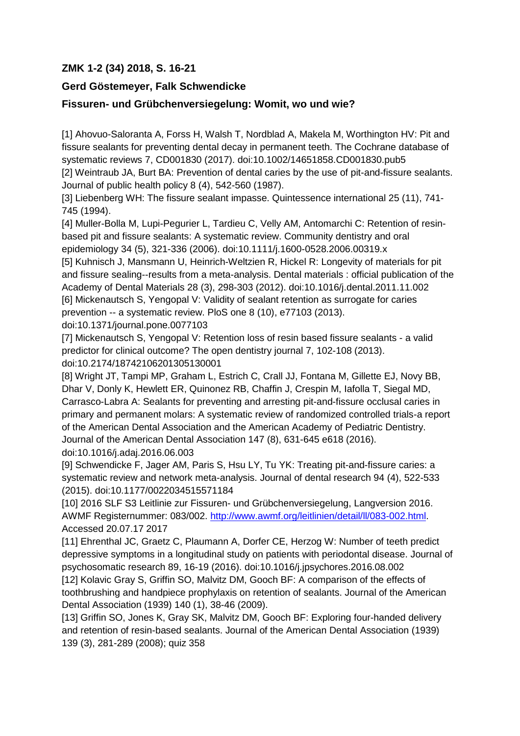## **ZMK 1-2 (34) 2018, S. 16-21**

## **Gerd Göstemeyer, Falk Schwendicke**

## **Fissuren- und Grübchenversiegelung: Womit, wo und wie?**

[1] Ahovuo-Saloranta A, Forss H, Walsh T, Nordblad A, Makela M, Worthington HV: Pit and fissure sealants for preventing dental decay in permanent teeth. The Cochrane database of systematic reviews 7, CD001830 (2017). doi:10.1002/14651858.CD001830.pub5

[2] Weintraub JA, Burt BA: Prevention of dental caries by the use of pit-and-fissure sealants. Journal of public health policy 8 (4), 542-560 (1987).

[3] Liebenberg WH: The fissure sealant impasse. Quintessence international 25 (11), 741- 745 (1994).

[4] Muller-Bolla M, Lupi-Pegurier L, Tardieu C, Velly AM, Antomarchi C: Retention of resinbased pit and fissure sealants: A systematic review. Community dentistry and oral epidemiology 34 (5), 321-336 (2006). doi:10.1111/j.1600-0528.2006.00319.x

[5] Kuhnisch J, Mansmann U, Heinrich-Weltzien R, Hickel R: Longevity of materials for pit and fissure sealing--results from a meta-analysis. Dental materials : official publication of the Academy of Dental Materials 28 (3), 298-303 (2012). doi:10.1016/j.dental.2011.11.002 [6] Mickenautsch S, Yengopal V: Validity of sealant retention as surrogate for caries prevention -- a systematic review. PloS one 8 (10), e77103 (2013).

doi:10.1371/journal.pone.0077103

[7] Mickenautsch S, Yengopal V: Retention loss of resin based fissure sealants - a valid predictor for clinical outcome? The open dentistry journal 7, 102-108 (2013). doi:10.2174/18742106201305130001

[8] Wright JT, Tampi MP, Graham L, Estrich C, Crall JJ, Fontana M, Gillette EJ, Novy BB, Dhar V, Donly K, Hewlett ER, Quinonez RB, Chaffin J, Crespin M, Iafolla T, Siegal MD, Carrasco-Labra A: Sealants for preventing and arresting pit-and-fissure occlusal caries in primary and permanent molars: A systematic review of randomized controlled trials-a report of the American Dental Association and the American Academy of Pediatric Dentistry. Journal of the American Dental Association 147 (8), 631-645 e618 (2016). doi:10.1016/j.adaj.2016.06.003

[9] Schwendicke F, Jager AM, Paris S, Hsu LY, Tu YK: Treating pit-and-fissure caries: a systematic review and network meta-analysis. Journal of dental research 94 (4), 522-533 (2015). doi:10.1177/0022034515571184

[10] 2016 SLF S3 Leitlinie zur Fissuren- und Grübchenversiegelung, Langversion 2016. AWMF Registernummer: 083/002. [http://www.awmf.org/leitlinien/detail/ll/083-002.html.](http://www.awmf.org/leitlinien/detail/ll/083-002.html) Accessed 20.07.17 2017

[11] Ehrenthal JC, Graetz C, Plaumann A, Dorfer CE, Herzog W: Number of teeth predict depressive symptoms in a longitudinal study on patients with periodontal disease. Journal of psychosomatic research 89, 16-19 (2016). doi:10.1016/j.jpsychores.2016.08.002

[12] Kolavic Gray S, Griffin SO, Malvitz DM, Gooch BF: A comparison of the effects of toothbrushing and handpiece prophylaxis on retention of sealants. Journal of the American Dental Association (1939) 140 (1), 38-46 (2009).

[13] Griffin SO, Jones K, Gray SK, Malvitz DM, Gooch BF: Exploring four-handed delivery and retention of resin-based sealants. Journal of the American Dental Association (1939) 139 (3), 281-289 (2008); quiz 358